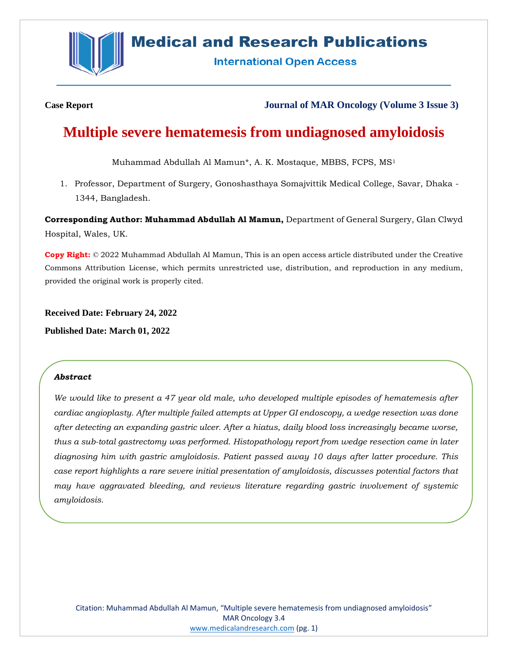

## **Medical and Research Publications**

**International Open Access** 

**Case Report Journal of MAR Oncology (Volume 3 Issue 3)**

# **Multiple severe hematemesis from undiagnosed amyloidosis**

Muhammad Abdullah Al Mamun\*, A. K. Mostaque, MBBS, FCPS, MS<sup>1</sup>

1. Professor, Department of Surgery, Gonoshasthaya Somajvittik Medical College, Savar, Dhaka - 1344, Bangladesh.

**Corresponding Author: Muhammad Abdullah Al Mamun,** Department of General Surgery, Glan Clwyd Hospital, Wales, UK.

**Copy Right:** © 2022 Muhammad Abdullah Al Mamun, This is an open access article distributed under the Creative Commons Attribution License, which permits unrestricted use, distribution, and reproduction in any medium, provided the original work is properly cited.

**Received Date: February 24, 2022**

**Published Date: March 01, 2022**

## *Abstract*

*We would like to present a 47 year old male, who developed multiple episodes of hematemesis after cardiac angioplasty. After multiple failed attempts at Upper GI endoscopy, a wedge resection was done after detecting an expanding gastric ulcer. After a hiatus, daily blood loss increasingly became worse, thus a sub-total gastrectomy was performed. Histopathology report from wedge resection came in later diagnosing him with gastric amyloidosis. Patient passed away 10 days after latter procedure. This case report highlights a rare severe initial presentation of amyloidosis, discusses potential factors that may have aggravated bleeding, and reviews literature regarding gastric involvement of systemic amyloidosis.*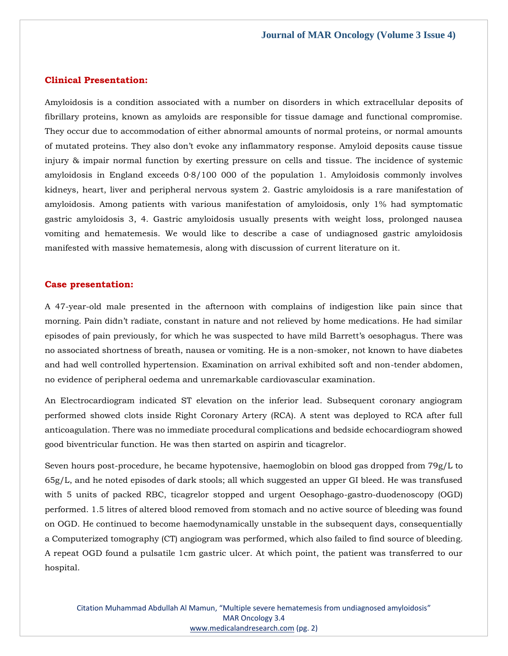**Journal of MAR Oncology (Volume 3 Issue 4)**

## **Clinical Presentation:**

Amyloidosis is a condition associated with a number on disorders in which extracellular deposits of fibrillary proteins, known as amyloids are responsible for tissue damage and functional compromise. They occur due to accommodation of either abnormal amounts of normal proteins, or normal amounts of mutated proteins. They also don't evoke any inflammatory response. Amyloid deposits cause tissue injury & impair normal function by exerting pressure on cells and tissue. The incidence of systemic amyloidosis in England exceeds 0·8/100 000 of the population 1. Amyloidosis commonly involves kidneys, heart, liver and peripheral nervous system 2. Gastric amyloidosis is a rare manifestation of amyloidosis. Among patients with various manifestation of amyloidosis, only 1% had symptomatic gastric amyloidosis 3, 4. Gastric amyloidosis usually presents with weight loss, prolonged nausea vomiting and hematemesis. We would like to describe a case of undiagnosed gastric amyloidosis manifested with massive hematemesis, along with discussion of current literature on it.

## **Case presentation:**

A 47-year-old male presented in the afternoon with complains of indigestion like pain since that morning. Pain didn't radiate, constant in nature and not relieved by home medications. He had similar episodes of pain previously, for which he was suspected to have mild Barrett's oesophagus. There was no associated shortness of breath, nausea or vomiting. He is a non-smoker, not known to have diabetes and had well controlled hypertension. Examination on arrival exhibited soft and non-tender abdomen, no evidence of peripheral oedema and unremarkable cardiovascular examination.

An Electrocardiogram indicated ST elevation on the inferior lead. Subsequent coronary angiogram performed showed clots inside Right Coronary Artery (RCA). A stent was deployed to RCA after full anticoagulation. There was no immediate procedural complications and bedside echocardiogram showed good biventricular function. He was then started on aspirin and ticagrelor.

Seven hours post-procedure, he became hypotensive, haemoglobin on blood gas dropped from 79g/L to 65g/L, and he noted episodes of dark stools; all which suggested an upper GI bleed. He was transfused with 5 units of packed RBC, ticagrelor stopped and urgent Oesophago-gastro-duodenoscopy (OGD) performed. 1.5 litres of altered blood removed from stomach and no active source of bleeding was found on OGD. He continued to become haemodynamically unstable in the subsequent days, consequentially a Computerized tomography (CT) angiogram was performed, which also failed to find source of bleeding. A repeat OGD found a pulsatile 1cm gastric ulcer. At which point, the patient was transferred to our hospital.

Citation Muhammad Abdullah Al Mamun, "Multiple severe hematemesis from undiagnosed amyloidosis" MAR Oncology 3.4 [www.medicalandresearch.com](http://www.medicalandresearch.com/) (pg. 2)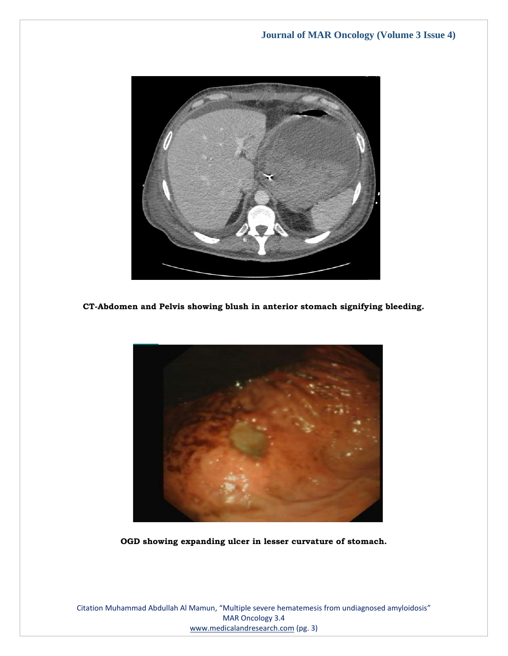

**CT-Abdomen and Pelvis showing blush in anterior stomach signifying bleeding.**



**OGD showing expanding ulcer in lesser curvature of stomach.**

Citation Muhammad Abdullah Al Mamun, "Multiple severe hematemesis from undiagnosed amyloidosis" MAR Oncology 3.4 [www.medicalandresearch.com](http://www.medicalandresearch.com/) (pg. 3)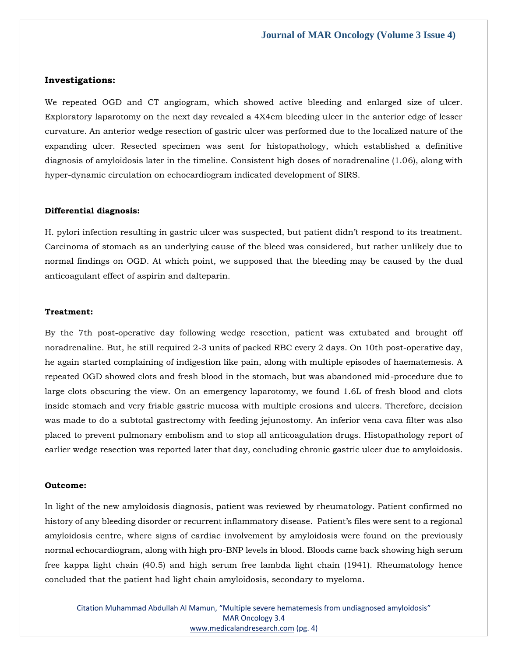#### **Investigations:**

We repeated OGD and CT angiogram, which showed active bleeding and enlarged size of ulcer. Exploratory laparotomy on the next day revealed a 4X4cm bleeding ulcer in the anterior edge of lesser curvature. An anterior wedge resection of gastric ulcer was performed due to the localized nature of the expanding ulcer. Resected specimen was sent for histopathology, which established a definitive diagnosis of amyloidosis later in the timeline. Consistent high doses of noradrenaline (1.06), along with hyper-dynamic circulation on echocardiogram indicated development of SIRS.

#### **Differential diagnosis:**

H. pylori infection resulting in gastric ulcer was suspected, but patient didn't respond to its treatment. Carcinoma of stomach as an underlying cause of the bleed was considered, but rather unlikely due to normal findings on OGD. At which point, we supposed that the bleeding may be caused by the dual anticoagulant effect of aspirin and dalteparin.

#### **Treatment:**

By the 7th post-operative day following wedge resection, patient was extubated and brought off noradrenaline. But, he still required 2-3 units of packed RBC every 2 days. On 10th post-operative day, he again started complaining of indigestion like pain, along with multiple episodes of haematemesis. A repeated OGD showed clots and fresh blood in the stomach, but was abandoned mid-procedure due to large clots obscuring the view. On an emergency laparotomy, we found 1.6L of fresh blood and clots inside stomach and very friable gastric mucosa with multiple erosions and ulcers. Therefore, decision was made to do a subtotal gastrectomy with feeding jejunostomy. An inferior vena cava filter was also placed to prevent pulmonary embolism and to stop all anticoagulation drugs. Histopathology report of earlier wedge resection was reported later that day, concluding chronic gastric ulcer due to amyloidosis.

#### **Outcome:**

In light of the new amyloidosis diagnosis, patient was reviewed by rheumatology. Patient confirmed no history of any bleeding disorder or recurrent inflammatory disease. Patient's files were sent to a regional amyloidosis centre, where signs of cardiac involvement by amyloidosis were found on the previously normal echocardiogram, along with high pro-BNP levels in blood. Bloods came back showing high serum free kappa light chain (40.5) and high serum free lambda light chain (1941). Rheumatology hence concluded that the patient had light chain amyloidosis, secondary to myeloma.

Citation Muhammad Abdullah Al Mamun, "Multiple severe hematemesis from undiagnosed amyloidosis" MAR Oncology 3.4 [www.medicalandresearch.com](http://www.medicalandresearch.com/) (pg. 4)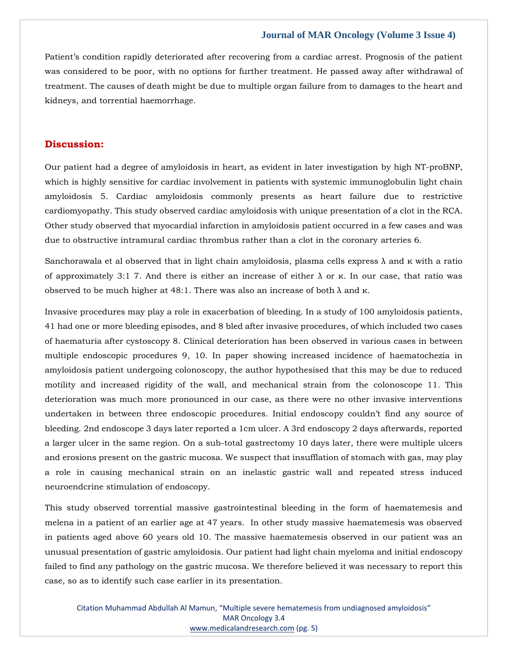## **Journal of MAR Oncology (Volume 3 Issue 4)**

Patient's condition rapidly deteriorated after recovering from a cardiac arrest. Prognosis of the patient was considered to be poor, with no options for further treatment. He passed away after withdrawal of treatment. The causes of death might be due to multiple organ failure from to damages to the heart and kidneys, and torrential haemorrhage.

## **Discussion:**

Our patient had a degree of amyloidosis in heart, as evident in later investigation by high NT-proBNP, which is highly sensitive for cardiac involvement in patients with systemic immunoglobulin light chain amyloidosis 5. Cardiac amyloidosis commonly presents as heart failure due to restrictive cardiomyopathy. This study observed cardiac amyloidosis with unique presentation of a clot in the RCA. Other study observed that myocardial infarction in amyloidosis patient occurred in a few cases and was due to obstructive intramural cardiac thrombus rather than a clot in the coronary arteries 6.

Sanchorawala et al observed that in light chain amyloidosis, plasma cells express λ and κ with a ratio of approximately 3:1 7. And there is either an increase of either  $λ$  or κ. In our case, that ratio was observed to be much higher at 48:1. There was also an increase of both  $λ$  and  $κ$ .

Invasive procedures may play a role in exacerbation of bleeding. In a study of 100 amyloidosis patients, 41 had one or more bleeding episodes, and 8 bled after invasive procedures, of which included two cases of haematuria after cystoscopy 8. Clinical deterioration has been observed in various cases in between multiple endoscopic procedures 9, 10. In paper showing increased incidence of haematochezia in amyloidosis patient undergoing colonoscopy, the author hypothesised that this may be due to reduced motility and increased rigidity of the wall, and mechanical strain from the colonoscope 11. This deterioration was much more pronounced in our case, as there were no other invasive interventions undertaken in between three endoscopic procedures. Initial endoscopy couldn't find any source of bleeding. 2nd endoscope 3 days later reported a 1cm ulcer. A 3rd endoscopy 2 days afterwards, reported a larger ulcer in the same region. On a sub-total gastrectomy 10 days later, there were multiple ulcers and erosions present on the gastric mucosa. We suspect that insufflation of stomach with gas, may play a role in causing mechanical strain on an inelastic gastric wall and repeated stress induced neuroendcrine stimulation of endoscopy.

This study observed torrential massive gastrointestinal bleeding in the form of haematemesis and melena in a patient of an earlier age at 47 years. In other study massive haematemesis was observed in patients aged above 60 years old 10. The massive haematemesis observed in our patient was an unusual presentation of gastric amyloidosis. Our patient had light chain myeloma and initial endoscopy failed to find any pathology on the gastric mucosa. We therefore believed it was necessary to report this case, so as to identify such case earlier in its presentation.

Citation Muhammad Abdullah Al Mamun, "Multiple severe hematemesis from undiagnosed amyloidosis" MAR Oncology 3.4 [www.medicalandresearch.com](http://www.medicalandresearch.com/) (pg. 5)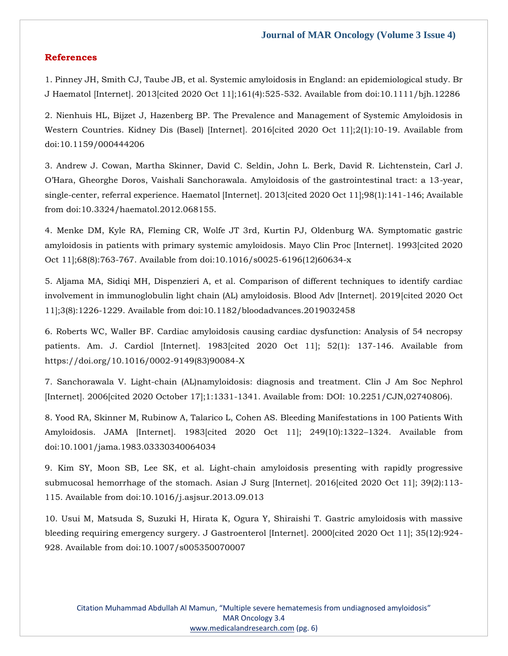## **References**

1. Pinney JH, Smith CJ, Taube JB, et al. Systemic amyloidosis in England: an epidemiological study. Br J Haematol [Internet]. 2013[cited 2020 Oct 11];161(4):525-532. Available from doi:10.1111/bjh.12286

2. Nienhuis HL, Bijzet J, Hazenberg BP. The Prevalence and Management of Systemic Amyloidosis in Western Countries. Kidney Dis (Basel) [Internet]. 2016[cited 2020 Oct 11];2(1):10-19. Available from doi:10.1159/000444206

3. Andrew J. Cowan, Martha Skinner, David C. Seldin, John L. Berk, David R. Lichtenstein, Carl J. O'Hara, Gheorghe Doros, Vaishali Sanchorawala. Amyloidosis of the gastrointestinal tract: a 13-year, single-center, referral experience. Haematol [Internet]. 2013[cited 2020 Oct 11];98(1):141-146; Available from doi:10.3324/haematol.2012.068155.

4. Menke DM, Kyle RA, Fleming CR, Wolfe JT 3rd, Kurtin PJ, Oldenburg WA. Symptomatic gastric amyloidosis in patients with primary systemic amyloidosis. Mayo Clin Proc [Internet]. 1993[cited 2020 Oct 11];68(8):763-767. Available from doi:10.1016/s0025-6196(12)60634-x

5. Aljama MA, Sidiqi MH, Dispenzieri A, et al. Comparison of different techniques to identify cardiac involvement in immunoglobulin light chain (AL) amyloidosis. Blood Adv [Internet]. 2019[cited 2020 Oct 11];3(8):1226-1229. Available from doi:10.1182/bloodadvances.2019032458

6. Roberts WC, Waller BF. Cardiac amyloidosis causing cardiac dysfunction: Analysis of 54 necropsy patients. Am. J. Cardiol [Internet]. 1983[cited 2020 Oct 11]; 52(1): 137-146. Available from https://doi.org/10.1016/0002-9149(83)90084-X

7. Sanchorawala V. Light-chain (AL)namyloidosis: diagnosis and treatment. Clin J Am Soc Nephrol [Internet]. 2006[cited 2020 October 17];1:1331-1341. Available from: DOI: 10.2251/CJN,02740806).

8. Yood RA, Skinner M, Rubinow A, Talarico L, Cohen AS. Bleeding Manifestations in 100 Patients With Amyloidosis. JAMA [Internet]. 1983[cited 2020 Oct 11]; 249(10):1322–1324. Available from doi:10.1001/jama.1983.03330340064034

9. Kim SY, Moon SB, Lee SK, et al. Light-chain amyloidosis presenting with rapidly progressive submucosal hemorrhage of the stomach. Asian J Surg [Internet]. 2016[cited 2020 Oct 11]; 39(2):113- 115. Available from doi:10.1016/j.asjsur.2013.09.013

10. Usui M, Matsuda S, Suzuki H, Hirata K, Ogura Y, Shiraishi T. Gastric amyloidosis with massive bleeding requiring emergency surgery. J Gastroenterol [Internet]. 2000 [cited 2020 Oct 11]; 35(12):924-928. Available from doi:10.1007/s005350070007